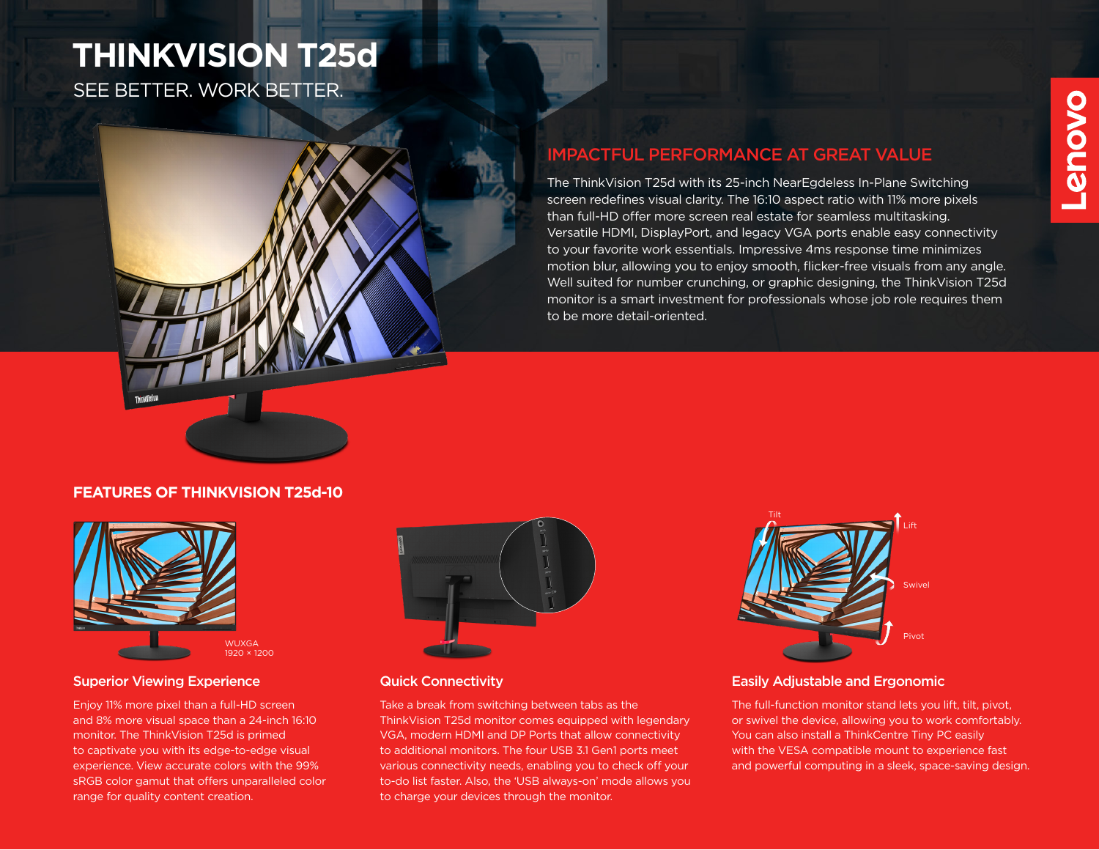# **THINKVISION T25d**

SEE BETTER. WORK BETTER.



### IMPACTFUL PERFORMANCE AT GREAT VALUE

The ThinkVision T25d with its 25-inch NearEgdeless In-Plane Switching screen redefines visual clarity. The 16:10 aspect ratio with 11% more pixels than full-HD offer more screen real estate for seamless multitasking. Versatile HDMI, DisplayPort, and legacy VGA ports enable easy connectivity to your favorite work essentials. Impressive 4ms response time minimizes motion blur, allowing you to enjoy smooth, flicker-free visuals from any angle. Well suited for number crunching, or graphic designing, the ThinkVision T25d monitor is a smart investment for professionals whose job role requires them to be more detail-oriented.

#### **FEATURES OF THINKVISION T25d-10**



#### **Superior Viewing Experience Connectivity Quick Connectivity**

Enjoy 11% more pixel than a full-HD screen and 8% more visual space than a 24-inch 16:10 monitor. The ThinkVision T25d is primed to captivate you with its edge-to-edge visual experience. View accurate colors with the 99% sRGB color gamut that offers unparalleled color range for quality content creation.



Take a break from switching between tabs as the

to charge your devices through the monitor.

ThinkVision T25d monitor comes equipped with legendary VGA, modern HDMI and DP Ports that allow connectivity to additional monitors. The four USB 3.1 Gen1 ports meet various connectivity needs, enabling you to check off your to-do list faster. Also, the 'USB always-on' mode allows you

## Tilt Pivot Swivel Lift

#### Easily Adjustable and Ergonomic

The full-function monitor stand lets you lift, tilt, pivot, or swivel the device, allowing you to work comfortably. You can also install a ThinkCentre Tiny PC easily with the VESA compatible mount to experience fast and powerful computing in a sleek, space-saving design.